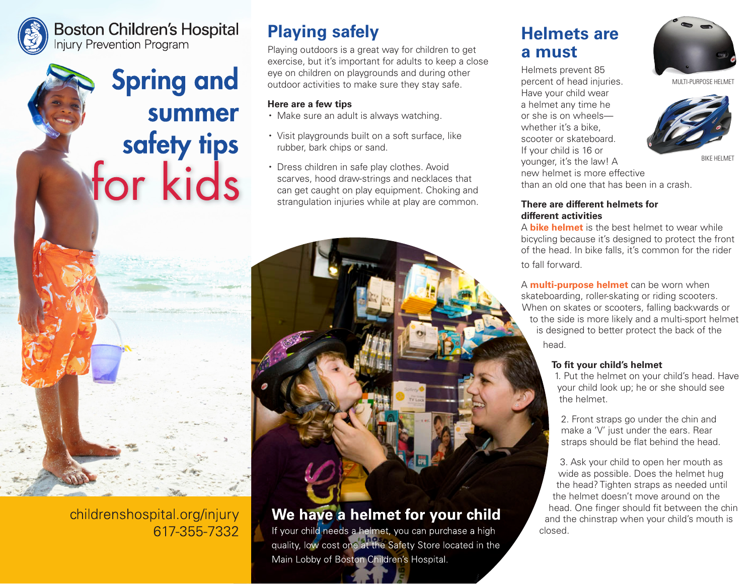### **Boston Children's Hospital Injury Prevention Program**



# **Playing safely**

Playing outdoors is a great way for children to get exercise, but it's important for adults to keep a close eye on children on playgrounds and during other outdoor activities to make sure they stay safe.

#### **Here are a few tips**

- Make sure an adult is always watching.
- Visit playgrounds built on a soft surface, like rubber, bark chips or sand.
- Dress children in safe play clothes. Avoid scarves, hood draw-strings and necklaces that can get caught on play equipment. Choking and strangulation injuries while at play are common.

### We have a helmet for your child

If your child needs a helmet, you can purchase a high<br>quality, low cost one at the Safety Store located in the Main Lobby of Boston Children's Hospital.

# **Helmets are a must**

Helmets prevent 85 percent of head injuries. Have your child wear a helmet any time he or she is on wheels whether it's a bike. scooter or skateboard. If your child is 16 or younger, it's the law! A new helmet is more effective than an old one that has been in a crash.



MULTI-PURPOSE HELMET



BIKE HELMET

**There are different helmets for different activities**

A **bike helmet** is the best helmet to wear while bicycling because it's designed to protect the front of the head. In bike falls, it's common for the rider to fall forward.

A **multi-purpose helmet** can be worn when skateboarding, roller-skating or riding scooters. When on skates or scooters, falling backwards or to the side is more likely and a multi-sport helmet is designed to better protect the back of the head.

### **To fit your child's helmet**

1. Put the helmet on your child's head. Have your child look up; he or she should see the helmet.

2. Front straps go under the chin and make a 'V' just under the ears. Rear straps should be flat behind the head.

3. Ask your child to open her mouth as wide as possible. Does the helmet hug the head? Tighten straps as needed until the helmet doesn't move around on the head. One finger should fit between the chin and the chinstrap when your child's mouth is closed.

childrenshospital.org/injury 617-355-7332